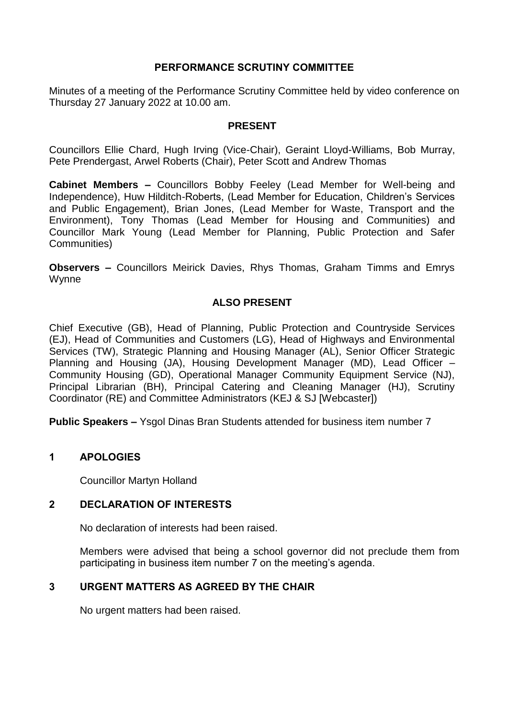# **PERFORMANCE SCRUTINY COMMITTEE**

Minutes of a meeting of the Performance Scrutiny Committee held by video conference on Thursday 27 January 2022 at 10.00 am.

### **PRESENT**

Councillors Ellie Chard, Hugh Irving (Vice-Chair), Geraint Lloyd-Williams, Bob Murray, Pete Prendergast, Arwel Roberts (Chair), Peter Scott and Andrew Thomas

**Cabinet Members –** Councillors Bobby Feeley (Lead Member for Well-being and Independence), Huw Hilditch-Roberts, (Lead Member for Education, Children's Services and Public Engagement), Brian Jones, (Lead Member for Waste, Transport and the Environment), Tony Thomas (Lead Member for Housing and Communities) and Councillor Mark Young (Lead Member for Planning, Public Protection and Safer Communities)

**Observers –** Councillors Meirick Davies, Rhys Thomas, Graham Timms and Emrys Wynne

# **ALSO PRESENT**

Chief Executive (GB), Head of Planning, Public Protection and Countryside Services (EJ), Head of Communities and Customers (LG), Head of Highways and Environmental Services (TW), Strategic Planning and Housing Manager (AL), Senior Officer Strategic Planning and Housing (JA), Housing Development Manager (MD), Lead Officer – Community Housing (GD), Operational Manager Community Equipment Service (NJ), Principal Librarian (BH), Principal Catering and Cleaning Manager (HJ), Scrutiny Coordinator (RE) and Committee Administrators (KEJ & SJ [Webcaster])

**Public Speakers –** Ysgol Dinas Bran Students attended for business item number 7

## **1 APOLOGIES**

Councillor Martyn Holland

#### **2 DECLARATION OF INTERESTS**

No declaration of interests had been raised.

Members were advised that being a school governor did not preclude them from participating in business item number 7 on the meeting's agenda.

## **3 URGENT MATTERS AS AGREED BY THE CHAIR**

No urgent matters had been raised.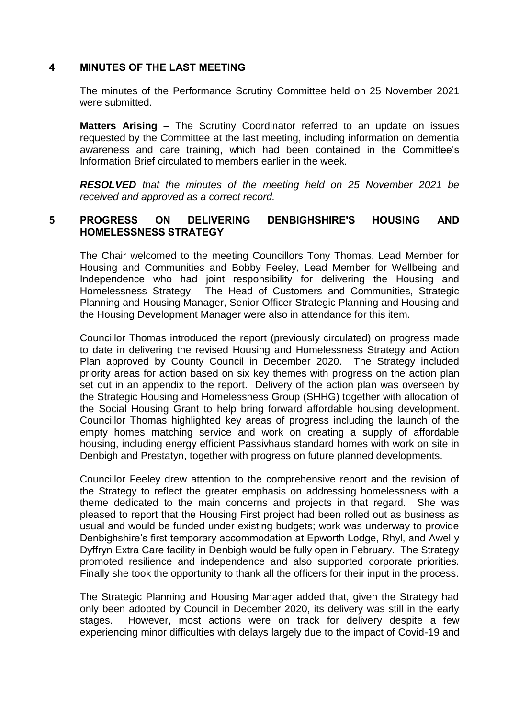### **4 MINUTES OF THE LAST MEETING**

The minutes of the Performance Scrutiny Committee held on 25 November 2021 were submitted.

**Matters Arising –** The Scrutiny Coordinator referred to an update on issues requested by the Committee at the last meeting, including information on dementia awareness and care training, which had been contained in the Committee's Information Brief circulated to members earlier in the week.

*RESOLVED that the minutes of the meeting held on 25 November 2021 be received and approved as a correct record.*

# **5 PROGRESS ON DELIVERING DENBIGHSHIRE'S HOUSING AND HOMELESSNESS STRATEGY**

The Chair welcomed to the meeting Councillors Tony Thomas, Lead Member for Housing and Communities and Bobby Feeley, Lead Member for Wellbeing and Independence who had joint responsibility for delivering the Housing and Homelessness Strategy. The Head of Customers and Communities, Strategic Planning and Housing Manager, Senior Officer Strategic Planning and Housing and the Housing Development Manager were also in attendance for this item.

Councillor Thomas introduced the report (previously circulated) on progress made to date in delivering the revised Housing and Homelessness Strategy and Action Plan approved by County Council in December 2020. The Strategy included priority areas for action based on six key themes with progress on the action plan set out in an appendix to the report. Delivery of the action plan was overseen by the Strategic Housing and Homelessness Group (SHHG) together with allocation of the Social Housing Grant to help bring forward affordable housing development. Councillor Thomas highlighted key areas of progress including the launch of the empty homes matching service and work on creating a supply of affordable housing, including energy efficient Passivhaus standard homes with work on site in Denbigh and Prestatyn, together with progress on future planned developments.

Councillor Feeley drew attention to the comprehensive report and the revision of the Strategy to reflect the greater emphasis on addressing homelessness with a theme dedicated to the main concerns and projects in that regard. She was pleased to report that the Housing First project had been rolled out as business as usual and would be funded under existing budgets; work was underway to provide Denbighshire's first temporary accommodation at Epworth Lodge, Rhyl, and Awel y Dyffryn Extra Care facility in Denbigh would be fully open in February. The Strategy promoted resilience and independence and also supported corporate priorities. Finally she took the opportunity to thank all the officers for their input in the process.

The Strategic Planning and Housing Manager added that, given the Strategy had only been adopted by Council in December 2020, its delivery was still in the early stages. However, most actions were on track for delivery despite a few experiencing minor difficulties with delays largely due to the impact of Covid-19 and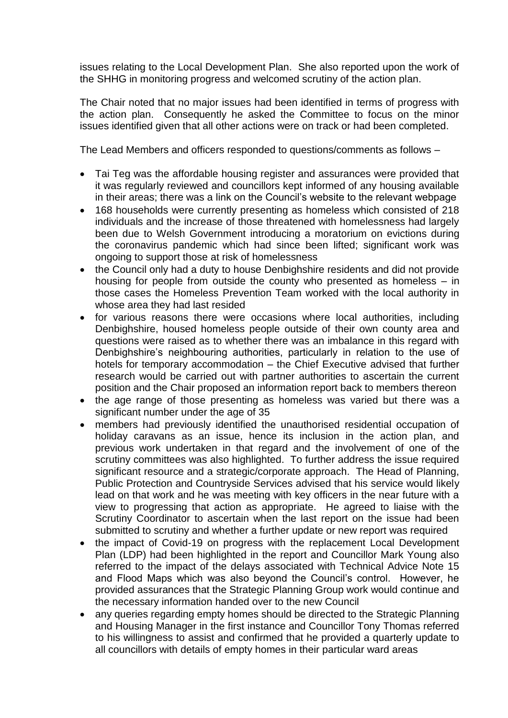issues relating to the Local Development Plan. She also reported upon the work of the SHHG in monitoring progress and welcomed scrutiny of the action plan.

The Chair noted that no major issues had been identified in terms of progress with the action plan. Consequently he asked the Committee to focus on the minor issues identified given that all other actions were on track or had been completed.

The Lead Members and officers responded to questions/comments as follows –

- Tai Teg was the affordable housing register and assurances were provided that it was regularly reviewed and councillors kept informed of any housing available in their areas; there was a link on the Council's website to the relevant webpage
- 168 households were currently presenting as homeless which consisted of 218 individuals and the increase of those threatened with homelessness had largely been due to Welsh Government introducing a moratorium on evictions during the coronavirus pandemic which had since been lifted; significant work was ongoing to support those at risk of homelessness
- the Council only had a duty to house Denbighshire residents and did not provide housing for people from outside the county who presented as homeless – in those cases the Homeless Prevention Team worked with the local authority in whose area they had last resided
- for various reasons there were occasions where local authorities, including Denbighshire, housed homeless people outside of their own county area and questions were raised as to whether there was an imbalance in this regard with Denbighshire's neighbouring authorities, particularly in relation to the use of hotels for temporary accommodation – the Chief Executive advised that further research would be carried out with partner authorities to ascertain the current position and the Chair proposed an information report back to members thereon
- the age range of those presenting as homeless was varied but there was a significant number under the age of 35
- members had previously identified the unauthorised residential occupation of holiday caravans as an issue, hence its inclusion in the action plan, and previous work undertaken in that regard and the involvement of one of the scrutiny committees was also highlighted. To further address the issue required significant resource and a strategic/corporate approach. The Head of Planning, Public Protection and Countryside Services advised that his service would likely lead on that work and he was meeting with key officers in the near future with a view to progressing that action as appropriate. He agreed to liaise with the Scrutiny Coordinator to ascertain when the last report on the issue had been submitted to scrutiny and whether a further update or new report was required
- the impact of Covid-19 on progress with the replacement Local Development Plan (LDP) had been highlighted in the report and Councillor Mark Young also referred to the impact of the delays associated with Technical Advice Note 15 and Flood Maps which was also beyond the Council's control. However, he provided assurances that the Strategic Planning Group work would continue and the necessary information handed over to the new Council
- any queries regarding empty homes should be directed to the Strategic Planning and Housing Manager in the first instance and Councillor Tony Thomas referred to his willingness to assist and confirmed that he provided a quarterly update to all councillors with details of empty homes in their particular ward areas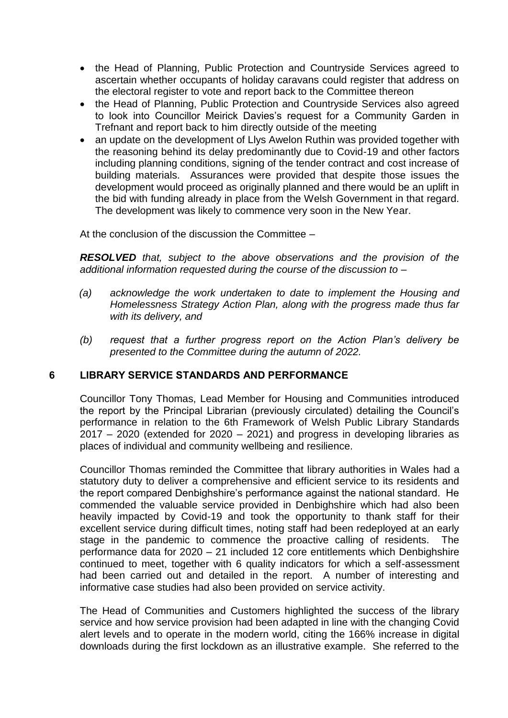- the Head of Planning, Public Protection and Countryside Services agreed to ascertain whether occupants of holiday caravans could register that address on the electoral register to vote and report back to the Committee thereon
- the Head of Planning, Public Protection and Countryside Services also agreed to look into Councillor Meirick Davies's request for a Community Garden in Trefnant and report back to him directly outside of the meeting
- an update on the development of Llys Awelon Ruthin was provided together with the reasoning behind its delay predominantly due to Covid-19 and other factors including planning conditions, signing of the tender contract and cost increase of building materials. Assurances were provided that despite those issues the development would proceed as originally planned and there would be an uplift in the bid with funding already in place from the Welsh Government in that regard. The development was likely to commence very soon in the New Year.

At the conclusion of the discussion the Committee –

*RESOLVED that, subject to the above observations and the provision of the additional information requested during the course of the discussion to –*

- *(a) acknowledge the work undertaken to date to implement the Housing and Homelessness Strategy Action Plan, along with the progress made thus far with its delivery, and*
- *(b) request that a further progress report on the Action Plan's delivery be presented to the Committee during the autumn of 2022.*

## **6 LIBRARY SERVICE STANDARDS AND PERFORMANCE**

Councillor Tony Thomas, Lead Member for Housing and Communities introduced the report by the Principal Librarian (previously circulated) detailing the Council's performance in relation to the 6th Framework of Welsh Public Library Standards 2017 – 2020 (extended for 2020 – 2021) and progress in developing libraries as places of individual and community wellbeing and resilience.

Councillor Thomas reminded the Committee that library authorities in Wales had a statutory duty to deliver a comprehensive and efficient service to its residents and the report compared Denbighshire's performance against the national standard. He commended the valuable service provided in Denbighshire which had also been heavily impacted by Covid-19 and took the opportunity to thank staff for their excellent service during difficult times, noting staff had been redeployed at an early stage in the pandemic to commence the proactive calling of residents. The performance data for 2020 – 21 included 12 core entitlements which Denbighshire continued to meet, together with 6 quality indicators for which a self-assessment had been carried out and detailed in the report. A number of interesting and informative case studies had also been provided on service activity.

The Head of Communities and Customers highlighted the success of the library service and how service provision had been adapted in line with the changing Covid alert levels and to operate in the modern world, citing the 166% increase in digital downloads during the first lockdown as an illustrative example. She referred to the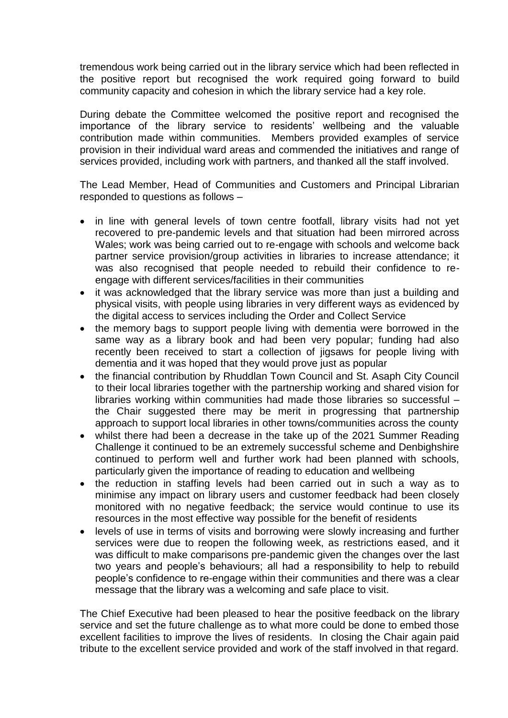tremendous work being carried out in the library service which had been reflected in the positive report but recognised the work required going forward to build community capacity and cohesion in which the library service had a key role.

During debate the Committee welcomed the positive report and recognised the importance of the library service to residents' wellbeing and the valuable contribution made within communities. Members provided examples of service provision in their individual ward areas and commended the initiatives and range of services provided, including work with partners, and thanked all the staff involved.

The Lead Member, Head of Communities and Customers and Principal Librarian responded to questions as follows –

- in line with general levels of town centre footfall, library visits had not yet recovered to pre-pandemic levels and that situation had been mirrored across Wales; work was being carried out to re-engage with schools and welcome back partner service provision/group activities in libraries to increase attendance; it was also recognised that people needed to rebuild their confidence to reengage with different services/facilities in their communities
- it was acknowledged that the library service was more than just a building and physical visits, with people using libraries in very different ways as evidenced by the digital access to services including the Order and Collect Service
- the memory bags to support people living with dementia were borrowed in the same way as a library book and had been very popular; funding had also recently been received to start a collection of jigsaws for people living with dementia and it was hoped that they would prove just as popular
- the financial contribution by Rhuddlan Town Council and St. Asaph City Council to their local libraries together with the partnership working and shared vision for libraries working within communities had made those libraries so successful – the Chair suggested there may be merit in progressing that partnership approach to support local libraries in other towns/communities across the county
- whilst there had been a decrease in the take up of the 2021 Summer Reading Challenge it continued to be an extremely successful scheme and Denbighshire continued to perform well and further work had been planned with schools, particularly given the importance of reading to education and wellbeing
- the reduction in staffing levels had been carried out in such a way as to minimise any impact on library users and customer feedback had been closely monitored with no negative feedback; the service would continue to use its resources in the most effective way possible for the benefit of residents
- levels of use in terms of visits and borrowing were slowly increasing and further services were due to reopen the following week, as restrictions eased, and it was difficult to make comparisons pre-pandemic given the changes over the last two years and people's behaviours; all had a responsibility to help to rebuild people's confidence to re-engage within their communities and there was a clear message that the library was a welcoming and safe place to visit.

The Chief Executive had been pleased to hear the positive feedback on the library service and set the future challenge as to what more could be done to embed those excellent facilities to improve the lives of residents. In closing the Chair again paid tribute to the excellent service provided and work of the staff involved in that regard.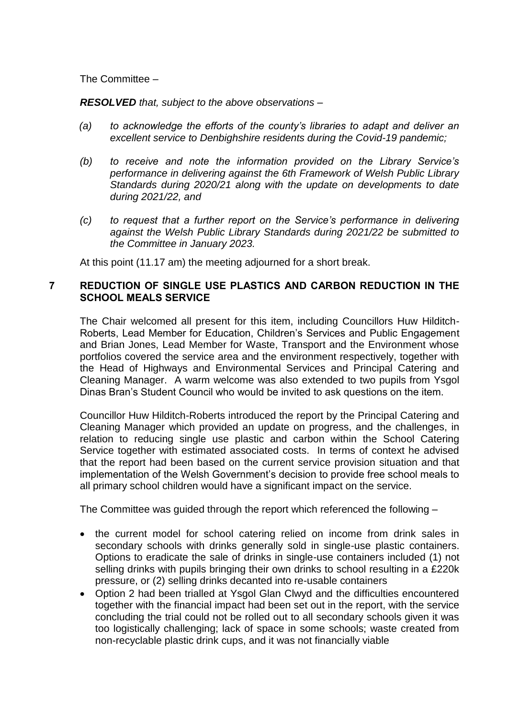The Committee –

*RESOLVED that, subject to the above observations –*

- *(a) to acknowledge the efforts of the county's libraries to adapt and deliver an excellent service to Denbighshire residents during the Covid-19 pandemic;*
- *(b) to receive and note the information provided on the Library Service's performance in delivering against the 6th Framework of Welsh Public Library Standards during 2020/21 along with the update on developments to date during 2021/22, and*
- *(c) to request that a further report on the Service's performance in delivering against the Welsh Public Library Standards during 2021/22 be submitted to the Committee in January 2023.*

At this point (11.17 am) the meeting adjourned for a short break.

## **7 REDUCTION OF SINGLE USE PLASTICS AND CARBON REDUCTION IN THE SCHOOL MEALS SERVICE**

The Chair welcomed all present for this item, including Councillors Huw Hilditch-Roberts, Lead Member for Education, Children's Services and Public Engagement and Brian Jones, Lead Member for Waste, Transport and the Environment whose portfolios covered the service area and the environment respectively, together with the Head of Highways and Environmental Services and Principal Catering and Cleaning Manager. A warm welcome was also extended to two pupils from Ysgol Dinas Bran's Student Council who would be invited to ask questions on the item.

Councillor Huw Hilditch-Roberts introduced the report by the Principal Catering and Cleaning Manager which provided an update on progress, and the challenges, in relation to reducing single use plastic and carbon within the School Catering Service together with estimated associated costs. In terms of context he advised that the report had been based on the current service provision situation and that implementation of the Welsh Government's decision to provide free school meals to all primary school children would have a significant impact on the service.

The Committee was guided through the report which referenced the following –

- the current model for school catering relied on income from drink sales in secondary schools with drinks generally sold in single-use plastic containers. Options to eradicate the sale of drinks in single-use containers included (1) not selling drinks with pupils bringing their own drinks to school resulting in a £220k pressure, or (2) selling drinks decanted into re-usable containers
- Option 2 had been trialled at Ysgol Glan Clwyd and the difficulties encountered together with the financial impact had been set out in the report, with the service concluding the trial could not be rolled out to all secondary schools given it was too logistically challenging; lack of space in some schools; waste created from non-recyclable plastic drink cups, and it was not financially viable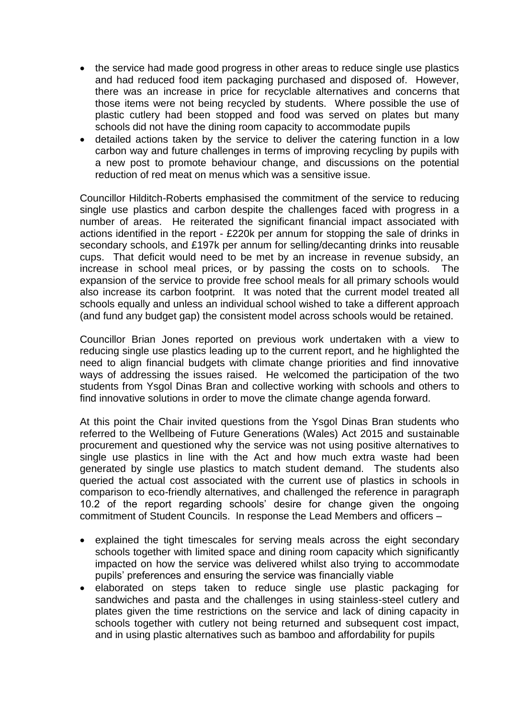- the service had made good progress in other areas to reduce single use plastics and had reduced food item packaging purchased and disposed of. However, there was an increase in price for recyclable alternatives and concerns that those items were not being recycled by students. Where possible the use of plastic cutlery had been stopped and food was served on plates but many schools did not have the dining room capacity to accommodate pupils
- detailed actions taken by the service to deliver the catering function in a low carbon way and future challenges in terms of improving recycling by pupils with a new post to promote behaviour change, and discussions on the potential reduction of red meat on menus which was a sensitive issue.

Councillor Hilditch-Roberts emphasised the commitment of the service to reducing single use plastics and carbon despite the challenges faced with progress in a number of areas. He reiterated the significant financial impact associated with actions identified in the report - £220k per annum for stopping the sale of drinks in secondary schools, and £197k per annum for selling/decanting drinks into reusable cups. That deficit would need to be met by an increase in revenue subsidy, an increase in school meal prices, or by passing the costs on to schools. The expansion of the service to provide free school meals for all primary schools would also increase its carbon footprint. It was noted that the current model treated all schools equally and unless an individual school wished to take a different approach (and fund any budget gap) the consistent model across schools would be retained.

Councillor Brian Jones reported on previous work undertaken with a view to reducing single use plastics leading up to the current report, and he highlighted the need to align financial budgets with climate change priorities and find innovative ways of addressing the issues raised. He welcomed the participation of the two students from Ysgol Dinas Bran and collective working with schools and others to find innovative solutions in order to move the climate change agenda forward.

At this point the Chair invited questions from the Ysgol Dinas Bran students who referred to the Wellbeing of Future Generations (Wales) Act 2015 and sustainable procurement and questioned why the service was not using positive alternatives to single use plastics in line with the Act and how much extra waste had been generated by single use plastics to match student demand. The students also queried the actual cost associated with the current use of plastics in schools in comparison to eco-friendly alternatives, and challenged the reference in paragraph 10.2 of the report regarding schools' desire for change given the ongoing commitment of Student Councils. In response the Lead Members and officers –

- explained the tight timescales for serving meals across the eight secondary schools together with limited space and dining room capacity which significantly impacted on how the service was delivered whilst also trying to accommodate pupils' preferences and ensuring the service was financially viable
- elaborated on steps taken to reduce single use plastic packaging for sandwiches and pasta and the challenges in using stainless-steel cutlery and plates given the time restrictions on the service and lack of dining capacity in schools together with cutlery not being returned and subsequent cost impact, and in using plastic alternatives such as bamboo and affordability for pupils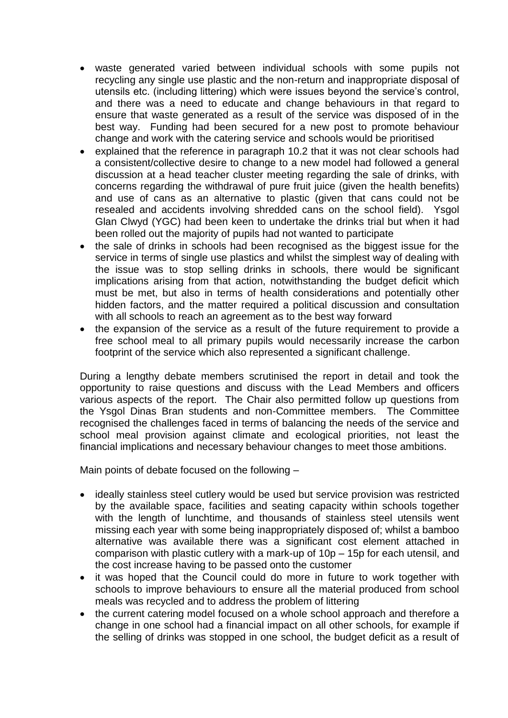- waste generated varied between individual schools with some pupils not recycling any single use plastic and the non-return and inappropriate disposal of utensils etc. (including littering) which were issues beyond the service's control, and there was a need to educate and change behaviours in that regard to ensure that waste generated as a result of the service was disposed of in the best way. Funding had been secured for a new post to promote behaviour change and work with the catering service and schools would be prioritised
- explained that the reference in paragraph 10.2 that it was not clear schools had a consistent/collective desire to change to a new model had followed a general discussion at a head teacher cluster meeting regarding the sale of drinks, with concerns regarding the withdrawal of pure fruit juice (given the health benefits) and use of cans as an alternative to plastic (given that cans could not be resealed and accidents involving shredded cans on the school field). Ysgol Glan Clwyd (YGC) had been keen to undertake the drinks trial but when it had been rolled out the majority of pupils had not wanted to participate
- the sale of drinks in schools had been recognised as the biggest issue for the service in terms of single use plastics and whilst the simplest way of dealing with the issue was to stop selling drinks in schools, there would be significant implications arising from that action, notwithstanding the budget deficit which must be met, but also in terms of health considerations and potentially other hidden factors, and the matter required a political discussion and consultation with all schools to reach an agreement as to the best way forward
- the expansion of the service as a result of the future requirement to provide a free school meal to all primary pupils would necessarily increase the carbon footprint of the service which also represented a significant challenge.

During a lengthy debate members scrutinised the report in detail and took the opportunity to raise questions and discuss with the Lead Members and officers various aspects of the report. The Chair also permitted follow up questions from the Ysgol Dinas Bran students and non-Committee members. The Committee recognised the challenges faced in terms of balancing the needs of the service and school meal provision against climate and ecological priorities, not least the financial implications and necessary behaviour changes to meet those ambitions.

Main points of debate focused on the following –

- ideally stainless steel cutlery would be used but service provision was restricted by the available space, facilities and seating capacity within schools together with the length of lunchtime, and thousands of stainless steel utensils went missing each year with some being inappropriately disposed of; whilst a bamboo alternative was available there was a significant cost element attached in comparison with plastic cutlery with a mark-up of 10p – 15p for each utensil, and the cost increase having to be passed onto the customer
- it was hoped that the Council could do more in future to work together with schools to improve behaviours to ensure all the material produced from school meals was recycled and to address the problem of littering
- the current catering model focused on a whole school approach and therefore a change in one school had a financial impact on all other schools, for example if the selling of drinks was stopped in one school, the budget deficit as a result of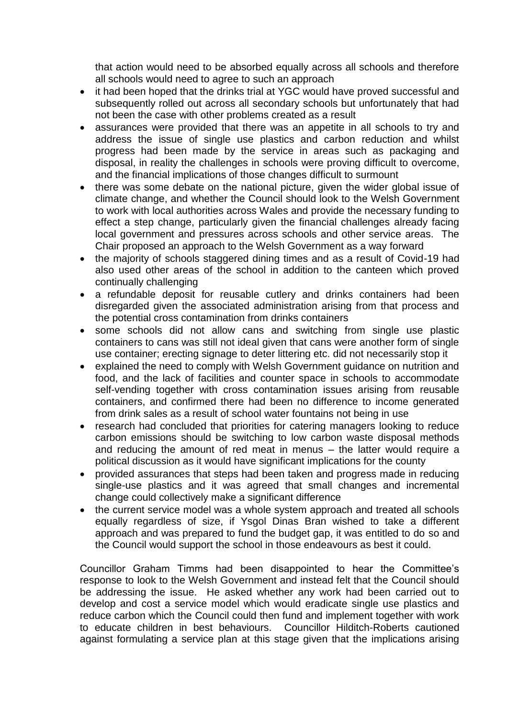that action would need to be absorbed equally across all schools and therefore all schools would need to agree to such an approach

- it had been hoped that the drinks trial at YGC would have proved successful and subsequently rolled out across all secondary schools but unfortunately that had not been the case with other problems created as a result
- assurances were provided that there was an appetite in all schools to try and address the issue of single use plastics and carbon reduction and whilst progress had been made by the service in areas such as packaging and disposal, in reality the challenges in schools were proving difficult to overcome, and the financial implications of those changes difficult to surmount
- there was some debate on the national picture, given the wider global issue of climate change, and whether the Council should look to the Welsh Government to work with local authorities across Wales and provide the necessary funding to effect a step change, particularly given the financial challenges already facing local government and pressures across schools and other service areas. The Chair proposed an approach to the Welsh Government as a way forward
- the majority of schools staggered dining times and as a result of Covid-19 had also used other areas of the school in addition to the canteen which proved continually challenging
- a refundable deposit for reusable cutlery and drinks containers had been disregarded given the associated administration arising from that process and the potential cross contamination from drinks containers
- some schools did not allow cans and switching from single use plastic containers to cans was still not ideal given that cans were another form of single use container; erecting signage to deter littering etc. did not necessarily stop it
- explained the need to comply with Welsh Government guidance on nutrition and food, and the lack of facilities and counter space in schools to accommodate self-vending together with cross contamination issues arising from reusable containers, and confirmed there had been no difference to income generated from drink sales as a result of school water fountains not being in use
- research had concluded that priorities for catering managers looking to reduce carbon emissions should be switching to low carbon waste disposal methods and reducing the amount of red meat in menus – the latter would require a political discussion as it would have significant implications for the county
- provided assurances that steps had been taken and progress made in reducing single-use plastics and it was agreed that small changes and incremental change could collectively make a significant difference
- the current service model was a whole system approach and treated all schools equally regardless of size, if Ysgol Dinas Bran wished to take a different approach and was prepared to fund the budget gap, it was entitled to do so and the Council would support the school in those endeavours as best it could.

Councillor Graham Timms had been disappointed to hear the Committee's response to look to the Welsh Government and instead felt that the Council should be addressing the issue. He asked whether any work had been carried out to develop and cost a service model which would eradicate single use plastics and reduce carbon which the Council could then fund and implement together with work to educate children in best behaviours. Councillor Hilditch-Roberts cautioned against formulating a service plan at this stage given that the implications arising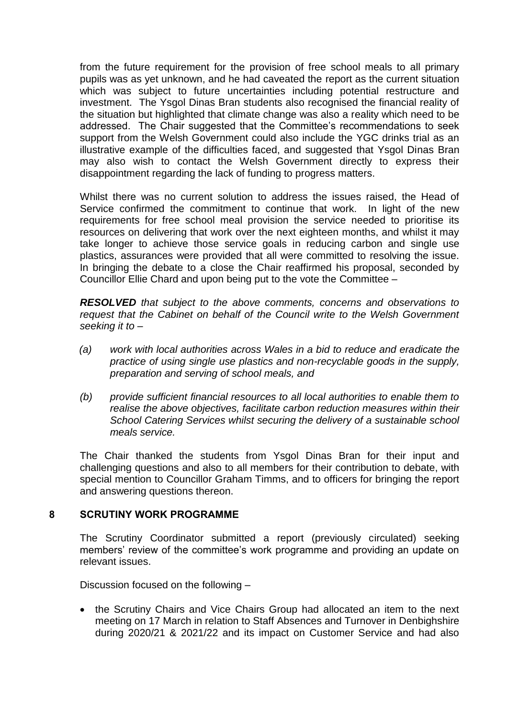from the future requirement for the provision of free school meals to all primary pupils was as yet unknown, and he had caveated the report as the current situation which was subject to future uncertainties including potential restructure and investment. The Ysgol Dinas Bran students also recognised the financial reality of the situation but highlighted that climate change was also a reality which need to be addressed. The Chair suggested that the Committee's recommendations to seek support from the Welsh Government could also include the YGC drinks trial as an illustrative example of the difficulties faced, and suggested that Ysgol Dinas Bran may also wish to contact the Welsh Government directly to express their disappointment regarding the lack of funding to progress matters.

Whilst there was no current solution to address the issues raised, the Head of Service confirmed the commitment to continue that work. In light of the new requirements for free school meal provision the service needed to prioritise its resources on delivering that work over the next eighteen months, and whilst it may take longer to achieve those service goals in reducing carbon and single use plastics, assurances were provided that all were committed to resolving the issue. In bringing the debate to a close the Chair reaffirmed his proposal, seconded by Councillor Ellie Chard and upon being put to the vote the Committee –

*RESOLVED that subject to the above comments, concerns and observations to request that the Cabinet on behalf of the Council write to the Welsh Government seeking it to –*

- *(a) work with local authorities across Wales in a bid to reduce and eradicate the practice of using single use plastics and non-recyclable goods in the supply, preparation and serving of school meals, and*
- *(b) provide sufficient financial resources to all local authorities to enable them to realise the above objectives, facilitate carbon reduction measures within their School Catering Services whilst securing the delivery of a sustainable school meals service.*

The Chair thanked the students from Ysgol Dinas Bran for their input and challenging questions and also to all members for their contribution to debate, with special mention to Councillor Graham Timms, and to officers for bringing the report and answering questions thereon.

## **8 SCRUTINY WORK PROGRAMME**

The Scrutiny Coordinator submitted a report (previously circulated) seeking members' review of the committee's work programme and providing an update on relevant issues.

Discussion focused on the following –

 the Scrutiny Chairs and Vice Chairs Group had allocated an item to the next meeting on 17 March in relation to Staff Absences and Turnover in Denbighshire during 2020/21 & 2021/22 and its impact on Customer Service and had also